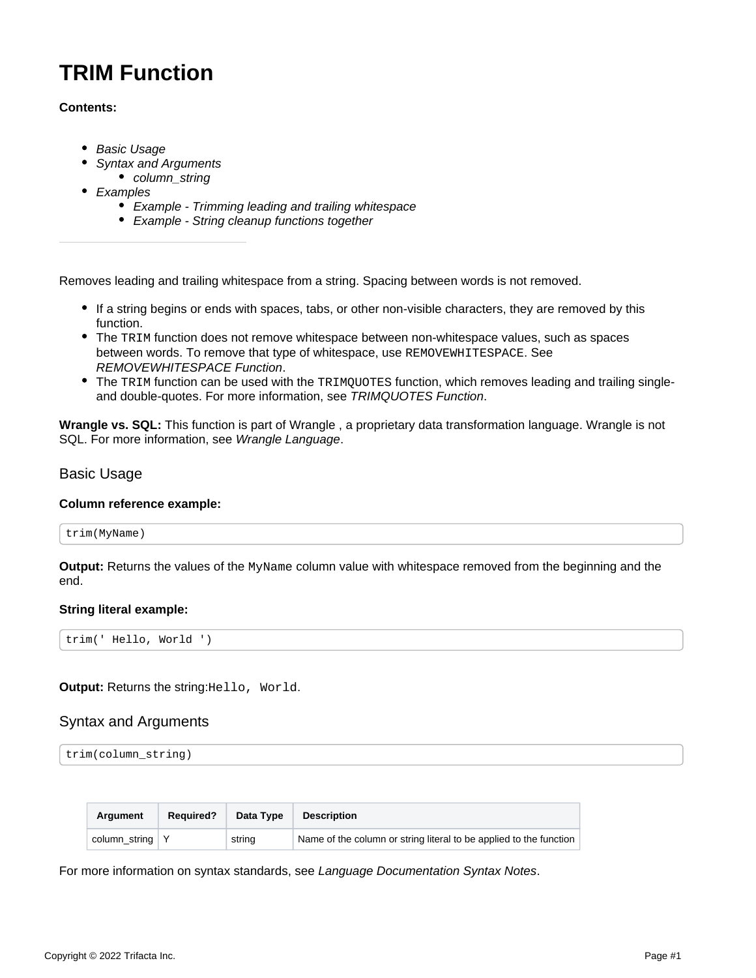# **TRIM Function**

## **Contents:**

- [Basic Usage](#page-0-0)
- [Syntax and Arguments](#page-0-1)
	- [column\\_string](#page-1-0)
- [Examples](#page-1-1)
	- [Example Trimming leading and trailing whitespace](#page-1-2)
	- [Example String cleanup functions together](#page-3-0)

Removes leading and trailing whitespace from a string. Spacing between words is not removed.

- If a string begins or ends with spaces, tabs, or other non-visible characters, they are removed by this function.
- The TRIM function does not remove whitespace between non-whitespace values, such as spaces between words. To remove that type of whitespace, use REMOVEWHITESPACE. See [REMOVEWHITESPACE Function](https://docs.trifacta.com/display/AWS/REMOVEWHITESPACE+Function).
- The TRIM function can be used with the TRIMQUOTES function, which removes leading and trailing singleand double-quotes. For more information, see [TRIMQUOTES Function](https://docs.trifacta.com/display/AWS/TRIMQUOTES+Function).

**Wrangle vs. SQL:** This function is part of Wrangle , a proprietary data transformation language. Wrangle is not SQL. For more information, see [Wrangle Language](https://docs.trifacta.com/display/AWS/Wrangle+Language).

# <span id="page-0-0"></span>Basic Usage

#### **Column reference example:**

$$
\int \text{trim}(\text{MyName})
$$

**Output:** Returns the values of the MyName column value with whitespace removed from the beginning and the end.

#### **String literal example:**

trim(' Hello, World ')

**Output:** Returns the string: Hello, World.

# <span id="page-0-1"></span>Syntax and Arguments

trim(column\_string)

| Araument                | <b>Required?</b> | Data Type | <b>Description</b>                                                 |
|-------------------------|------------------|-----------|--------------------------------------------------------------------|
| column string $\vert$ Y |                  | string    | Name of the column or string literal to be applied to the function |

For more information on syntax standards, see [Language Documentation Syntax Notes](https://docs.trifacta.com/display/AWS/Language+Documentation+Syntax+Notes).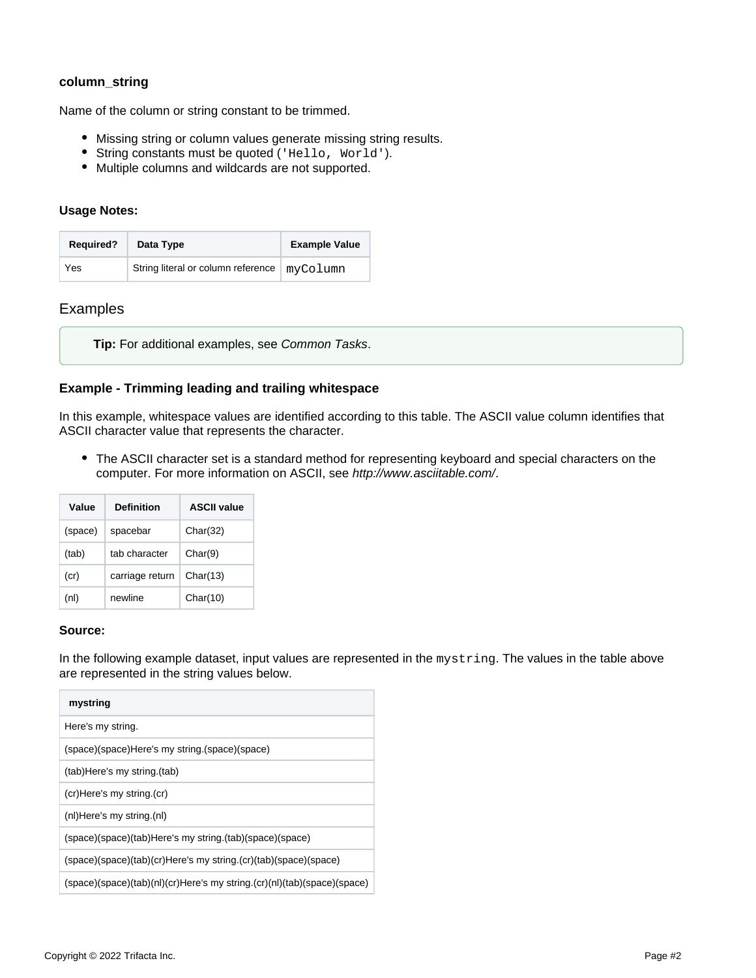## <span id="page-1-0"></span>**column\_string**

Name of the column or string constant to be trimmed.

- Missing string or column values generate missing string results.
- String constants must be quoted ('Hello, World').
- Multiple columns and wildcards are not supported.

#### **Usage Notes:**

| <b>Required?</b> | Data Type                                     | <b>Example Value</b> |
|------------------|-----------------------------------------------|----------------------|
| Yes              | String literal or column reference   myColumn |                      |

# <span id="page-1-1"></span>Examples

**Tip:** For additional examples, see [Common Tasks](https://docs.trifacta.com/display/AWS/Common+Tasks).

## <span id="page-1-2"></span>**Example - Trimming leading and trailing whitespace**

In this example, whitespace values are identified according to this table. The ASCII value column identifies that ASCII character value that represents the character.

The ASCII character set is a standard method for representing keyboard and special characters on the computer. For more information on ASCII, see <http://www.asciitable.com/>.

| Value   | <b>Definition</b> | <b>ASCII value</b> |
|---------|-------------------|--------------------|
| (space) | spacebar          | Char(32)           |
| (tab)   | tah character     | Char(9)            |
| (cr)    | carriage return   | Char(13)           |
| (nl)    | newline           | Char(10)           |

#### **Source:**

In the following example dataset, input values are represented in the mystring. The values in the table above are represented in the string values below.

| mystring                                                                |
|-------------------------------------------------------------------------|
| Here's my string.                                                       |
| (space)(space)Here's my string.(space)(space)                           |
| (tab) Here's my string (tab)                                            |
| (cr)Here's my string (cr)                                               |
| (nl)Here's my string.(nl)                                               |
| (space)(space)(tab)Here's my string.(tab)(space)(space)                 |
| (space)(space)(tab)(cr)Here's my string.(cr)(tab)(space)(space)         |
| (space)(space)(tab)(nl)(cr)Here's my string.(cr)(nl)(tab)(space)(space) |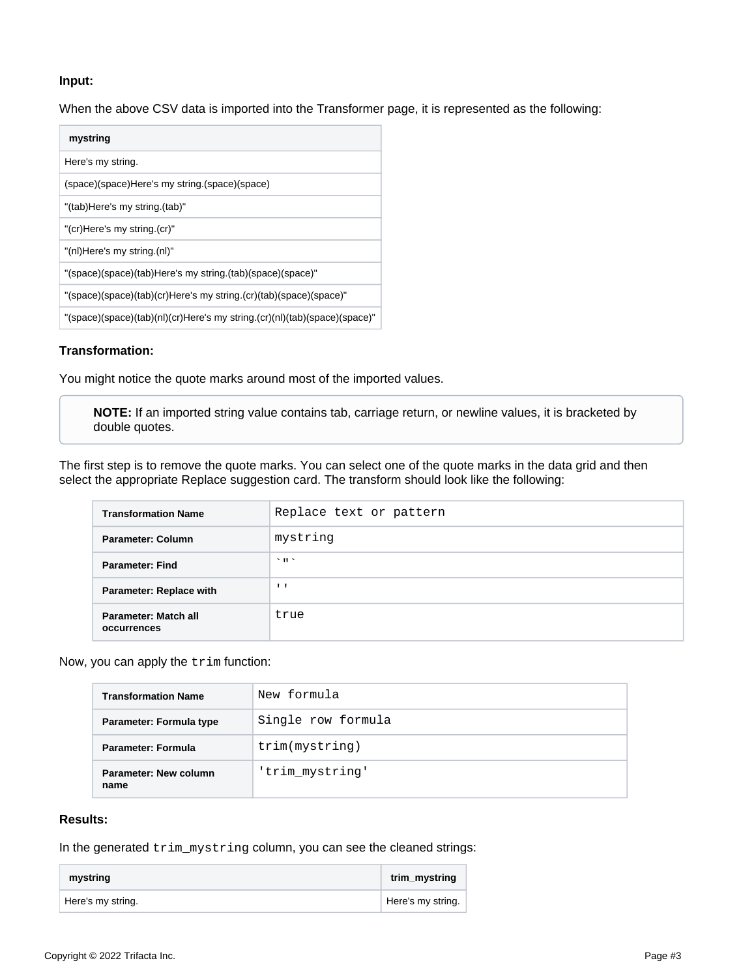## **Input:**

When the above CSV data is imported into the Transformer page, it is represented as the following:

| mystring                                                                  |
|---------------------------------------------------------------------------|
| Here's my string.                                                         |
| (space)(space)Here's my string (space)(space)                             |
| "(tab)Here's my string.(tab)"                                             |
| "(cr)Here's my string.(cr)"                                               |
| "(nl)Here's my string.(nl)"                                               |
| "(space)(space)(tab)Here's my string.(tab)(space)(space)"                 |
| "(space)(space)(tab)(cr)Here's my string.(cr)(tab)(space)(space)"         |
| "(space)(space)(tab)(nl)(cr)Here's my string.(cr)(nl)(tab)(space)(space)" |

#### **Transformation:**

You might notice the quote marks around most of the imported values.

**NOTE:** If an imported string value contains tab, carriage return, or newline values, it is bracketed by double quotes.

The first step is to remove the quote marks. You can select one of the quote marks in the data grid and then select the appropriate Replace suggestion card. The transform should look like the following:

| <b>Transformation Name</b>          | Replace text or pattern |
|-------------------------------------|-------------------------|
| Parameter: Column                   | mystring                |
| <b>Parameter: Find</b>              | 5.05                    |
| <b>Parameter: Replace with</b>      | $\mathbf{I}$            |
| Parameter: Match all<br>occurrences | true                    |

Now, you can apply the trim function:

| <b>Transformation Name</b>    | New formula        |
|-------------------------------|--------------------|
| Parameter: Formula type       | Single row formula |
| Parameter: Formula            | trim(mystring)     |
| Parameter: New column<br>name | 'trim mystring'    |

## **Results:**

In the generated trim\_mystring column, you can see the cleaned strings:

| mystring          | trim_mystring     |
|-------------------|-------------------|
| Here's my string. | Here's my string. |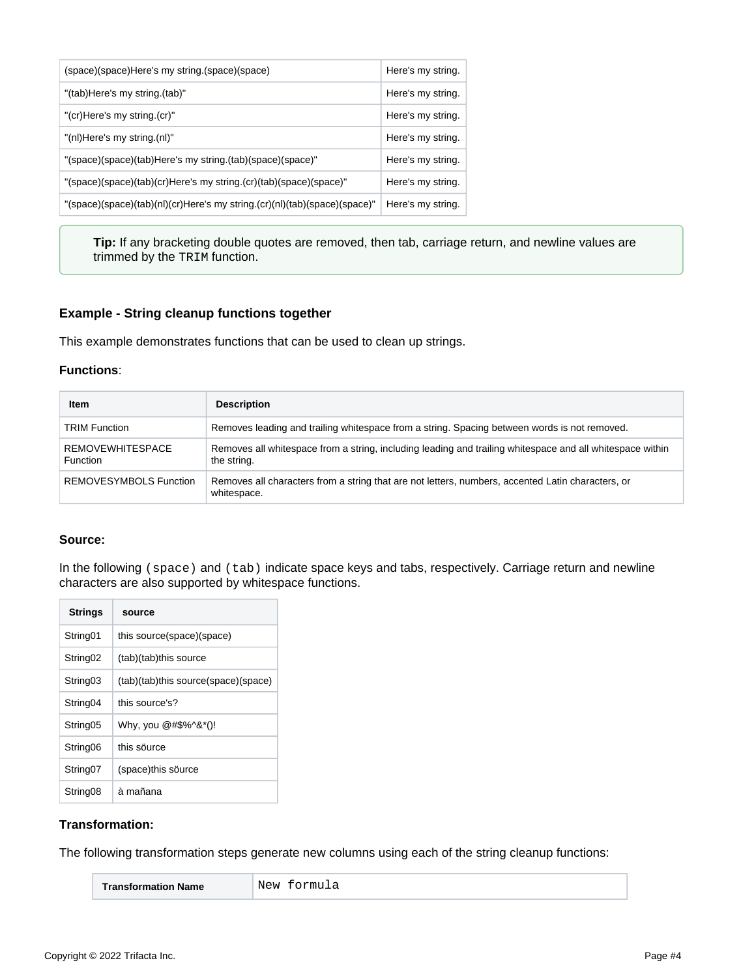| (space)(space)Here's my string.(space)(space)                             | Here's my string. |
|---------------------------------------------------------------------------|-------------------|
| "(tab)Here's my string.(tab)"                                             | Here's my string. |
| "(cr)Here's my string.(cr)"                                               | Here's my string. |
| "(nl)Here's my string.(nl)"                                               | Here's my string. |
| "(space)(space)(tab)Here's my string.(tab)(space)(space)"                 | Here's my string. |
| "(space)(space)(tab)(cr)Here's my string.(cr)(tab)(space)(space)"         | Here's my string. |
| "(space)(space)(tab)(nl)(cr)Here's my string.(cr)(nl)(tab)(space)(space)" | Here's my string. |

**Tip:** If any bracketing double quotes are removed, then tab, carriage return, and newline values are trimmed by the TRIM function.

## <span id="page-3-0"></span>**Example - String cleanup functions together**

This example demonstrates functions that can be used to clean up strings.

#### **Functions**:

| <b>Item</b>                                | <b>Description</b>                                                                                                       |
|--------------------------------------------|--------------------------------------------------------------------------------------------------------------------------|
| <b>TRIM Function</b>                       | Removes leading and trailing whitespace from a string. Spacing between words is not removed.                             |
| <b>REMOVEWHITESPACE</b><br><b>Function</b> | Removes all whitespace from a string, including leading and trailing whitespace and all whitespace within<br>the string. |
| REMOVESYMBOLS Function                     | Removes all characters from a string that are not letters, numbers, accented Latin characters, or<br>whitespace.         |

## **Source:**

In the following (space) and (tab) indicate space keys and tabs, respectively. Carriage return and newline characters are also supported by whitespace functions.

| (tab)(tab)this source(space)(space) |
|-------------------------------------|
|                                     |
|                                     |
|                                     |
|                                     |
|                                     |
|                                     |

## **Transformation:**

The following transformation steps generate new columns using each of the string cleanup functions:

**Transformation Name** New formula